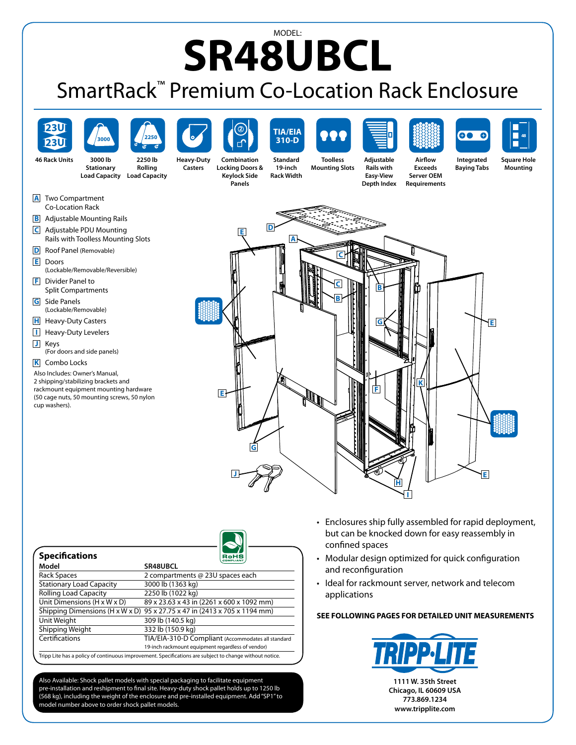## MODEL: **SR48UBCL**

## SmartRack™ Premium Co-Location Rack Enclosure



| <b>Specifications</b>           | RoHS                                                                                                    |
|---------------------------------|---------------------------------------------------------------------------------------------------------|
| Model                           | SR48UBCL                                                                                                |
| <b>Rack Spaces</b>              | 2 compartments @ 23U spaces each                                                                        |
| <b>Stationary Load Capacity</b> | 3000 lb (1363 kg)                                                                                       |
| <b>Rolling Load Capacity</b>    | 2250 lb (1022 kg)                                                                                       |
| Unit Dimensions (H x W x D)     | 89 x 23.63 x 43 in (2261 x 600 x 1092 mm)                                                               |
|                                 | Shipping Dimensions (H x W x D) $95 \times 27.75 \times 47$ in (2413 x 705 x 1194 mm)                   |
| Unit Weight                     | 309 lb (140.5 kg)                                                                                       |
| Shipping Weight                 | 332 lb (150.9 kg)                                                                                       |
| Certifications                  | TIA/EIA-310-D Compliant (Accommodates all standard                                                      |
|                                 | 19-inch rackmount equipment regardless of vendor)                                                       |
|                                 | Tripp Lite has a policy of continuous improvement. Specifications are subject to change without notice. |

Also Available: Shock pallet models with special packaging to facilitate equipment pre-installation and reshipment to final site. Heavy-duty shock pallet holds up to 1250 lb (568 kg), including the weight of the enclosure and pre-installed equipment. Add"SP1"to model number above to order shock pallet models.

- • Enclosures ship fully assembled for rapid deployment, but can be knocked down for easy reassembly in confined spaces
- Modular design optimized for quick configuration and reconfiguration
- Ideal for rackmount server, network and telecom applications

## **SEE FOLLOWING PAGES FOR DETAILED UNIT MEASUREMENTS**



**773.869.1234 www.tripplite.com**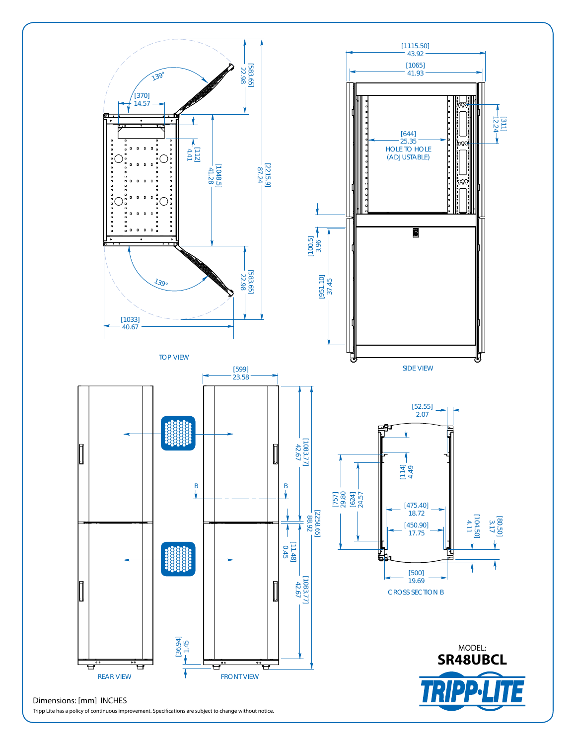